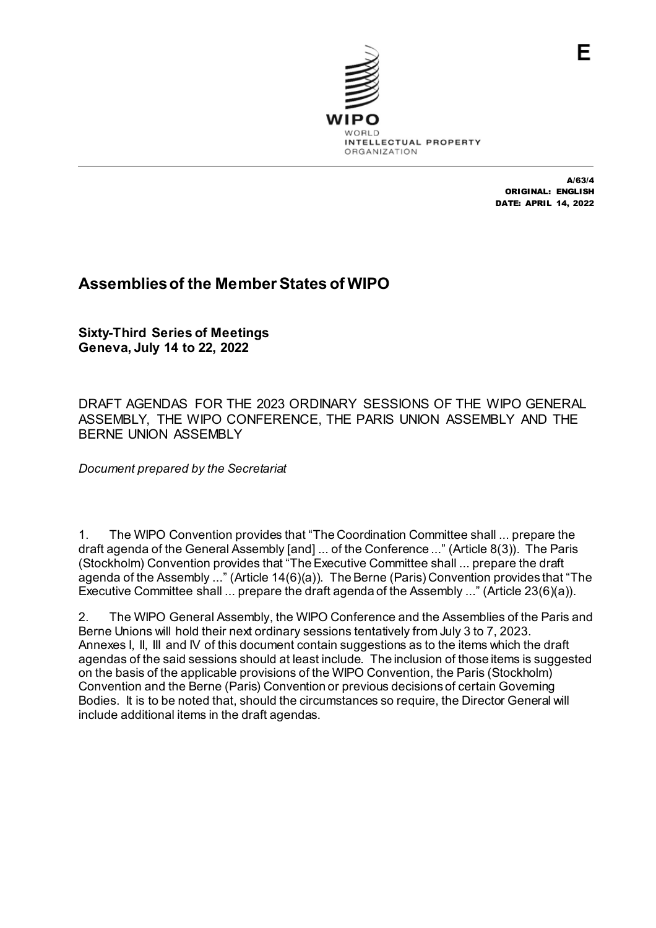

A/63/4 ORIGINAL: ENGLISH DATE: APRIL 14, 2022

## **Assemblies of the Member States of WIPO**

**Sixty-Third Series of Meetings Geneva, July 14 to 22, 2022**

DRAFT AGENDAS FOR THE 2023 ORDINARY SESSIONS OF THE WIPO GENERAL ASSEMBLY, THE WIPO CONFERENCE, THE PARIS UNION ASSEMBLY AND THE BERNE UNION ASSEMBLY

*Document prepared by the Secretariat*

1. The WIPO Convention provides that "The Coordination Committee shall ... prepare the draft agenda of the General Assembly [and] ... of the Conference ..." (Article 8(3)). The Paris (Stockholm) Convention provides that "The Executive Committee shall ... prepare the draft agenda of the Assembly ..." (Article 14(6)(a)). The Berne (Paris) Convention provides that "The Executive Committee shall ... prepare the draft agenda of the Assembly ..." (Article 23(6)(a)).

2. The WIPO General Assembly, the WIPO Conference and the Assemblies of the Paris and Berne Unions will hold their next ordinary sessions tentatively from July 3 to 7, 2023. Annexes I, II, III and IV of this document contain suggestions as to the items which the draft agendas of the said sessions should at least include. The inclusion of those items is suggested on the basis of the applicable provisions of the WIPO Convention, the Paris (Stockholm) Convention and the Berne (Paris) Convention or previous decisions of certain Governing Bodies. It is to be noted that, should the circumstances so require, the Director General will include additional items in the draft agendas.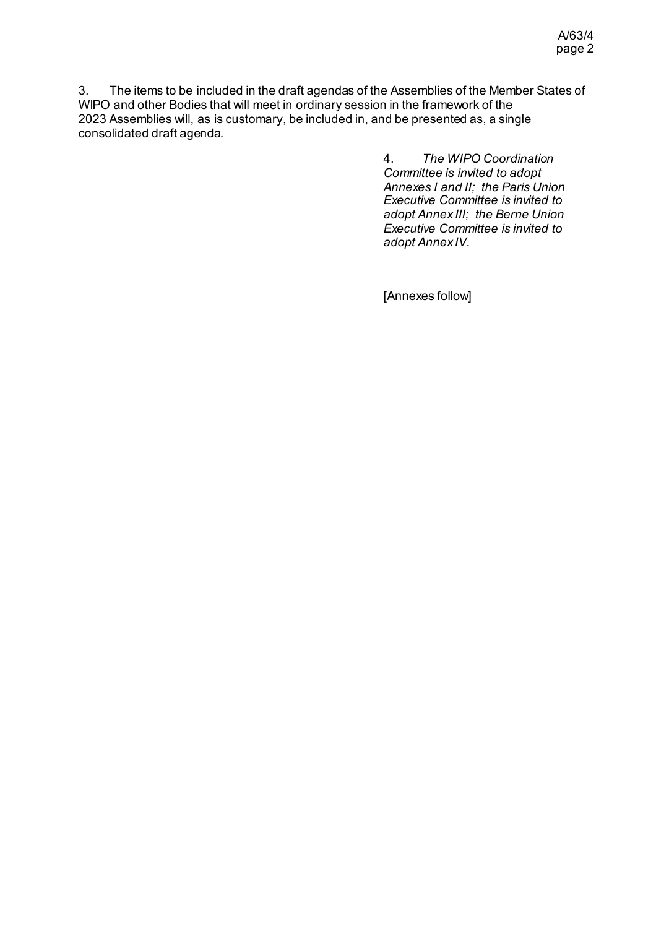3. The items to be included in the draft agendas of the Assemblies of the Member States of WIPO and other Bodies that will meet in ordinary session in the framework of the 2023 Assemblies will, as is customary, be included in, and be presented as, a single consolidated draft agenda.

> 4. *The WIPO Coordination Committee is invited to adopt Annexes I and II; the Paris Union Executive Committee is invited to adopt Annex III; the Berne Union Executive Committee is invited to adopt Annex IV*.

[Annexes follow]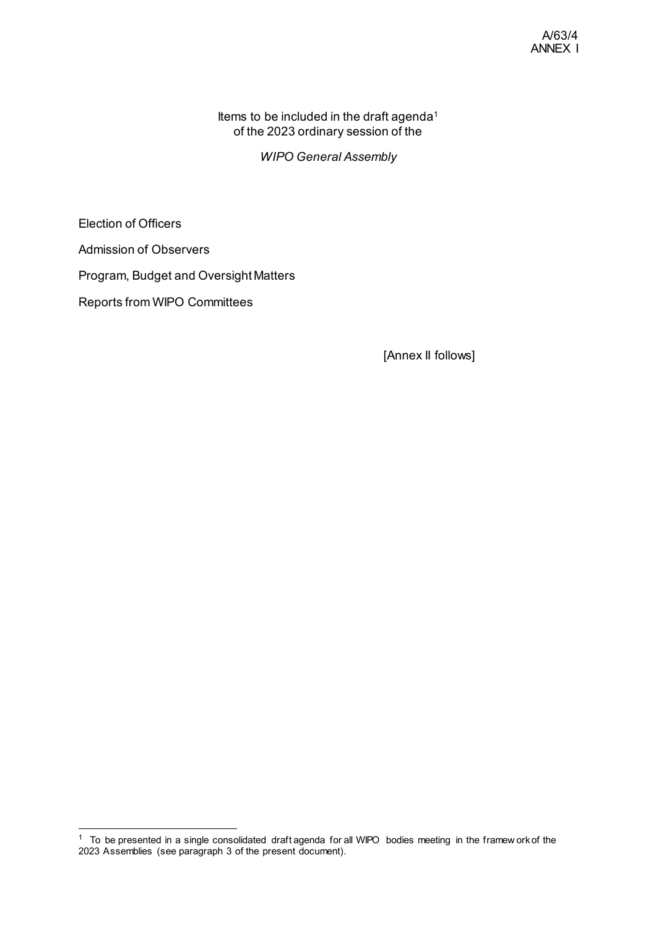Items to be included in the draft agenda<sup>[1](#page-2-0)</sup> of the 2023 ordinary session of the

*WIPO General Assembly*

Election of Officers

Admission of Observers

Program, Budget and Oversight Matters

Reports from WIPO Committees

[Annex II follows]

<span id="page-2-0"></span> <sup>1</sup> To be presented in a single consolidated draft agenda for all WIPO bodies meeting in the framew ork of the 2023 Assemblies (see paragraph 3 of the present document).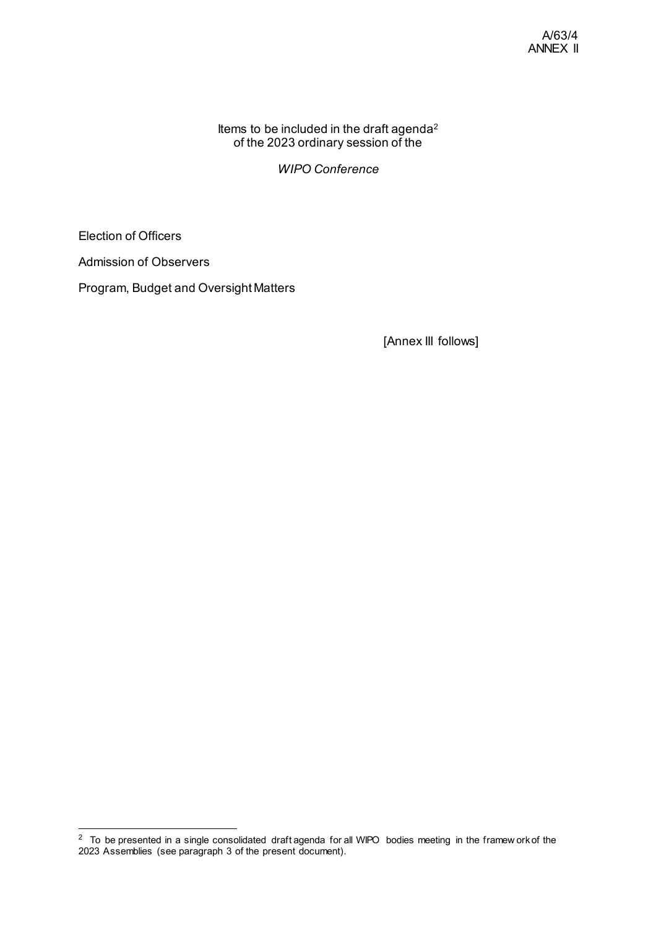Items to be included in the draft agenda $^2$  $^2$ of the 2023 ordinary session of the

*WIPO Conference*

Election of Officers

Admission of Observers

Program, Budget and Oversight Matters

[Annex III follows]

<span id="page-3-0"></span> <sup>2</sup> To be presented in a single consolidated draft agenda for all WIPO bodies meeting in the framew ork of the 2023 Assemblies (see paragraph 3 of the present document).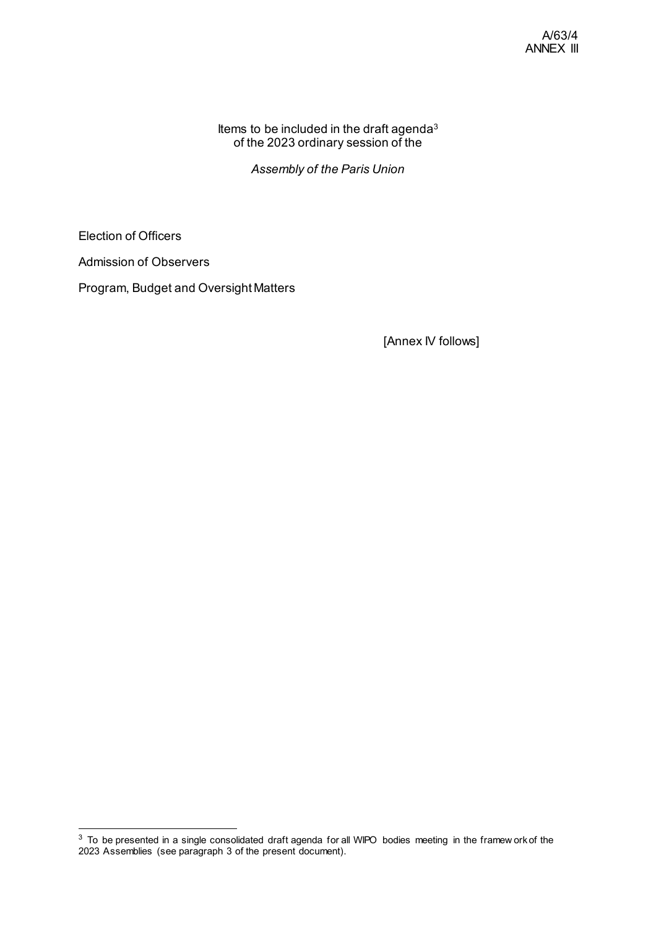Items to be included in the draft agenda<sup>[3](#page-4-0)</sup> of the 2023 ordinary session of the

*Assembly of the Paris Union*

Election of Officers

Admission of Observers

Program, Budget and Oversight Matters

[Annex IV follows]

<span id="page-4-0"></span> <sup>3</sup> To be presented in a single consolidated draft agenda for all WIPO bodies meeting in the framew ork of the 2023 Assemblies (see paragraph 3 of the present document).